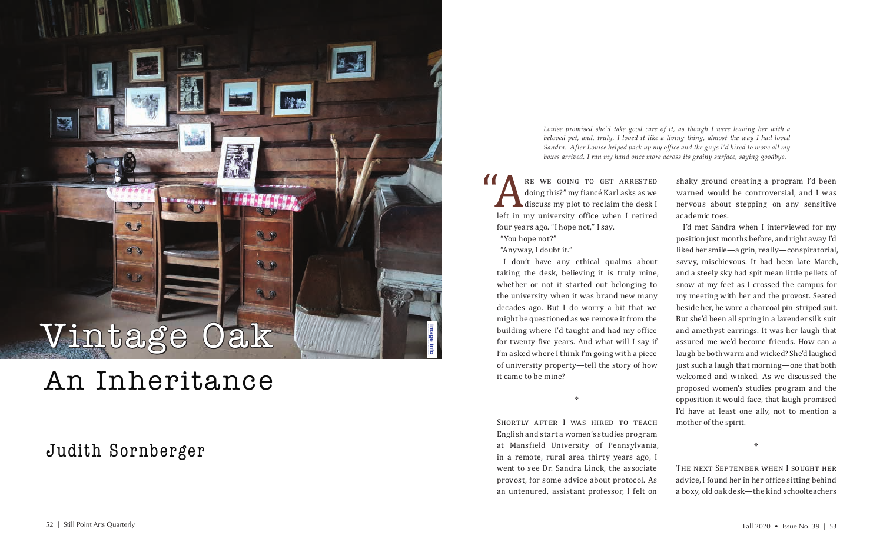*Louise promised she'd take good care of it, as though I were leaving her with a beloved pet, and, truly, I loved it like a living thing, almost the way I had loved Sandra. After Louise helped pack up my office and the guys I'd hired to move all my boxes arrived, I ran my hand once more across its grainy surface, saying goodbye.*

RE WE GOING TO GET ARRESTED<br>
doing this?" my fiancé Karl asks as we<br>
discuss my plot to reclaim the desk I<br>
left in my university office when I retired<br>
four wars ago. "I bono not" I saw doing this?" my fiancé Karl asks as we discuss my plot to reclaim the desk I four years ago. "I hope not," I say.

"You hope not?" "Anyway, I doubt it."

SHORTLY AFTER I WAS HIRED TO TEACH English and start a women's studies program at Mansfield University of Pennsylvania, in a remote, rural area thirty years ago, I went to see Dr. Sandra Linck, the associate provost, for some advice about protocol. As an untenured, assistant professor, I felt on

I don't have any ethical qualms about taking the desk, believing it is truly mine, whether or not it started out belonging to the university when it was brand new many decades ago. But I do worry a bit that we might be questioned as we remove it from the building where I'd taught and had my office for twenty-five years. And what will I say if I'm asked where I think I'm going with a piece of university property—tell the story of how it came to be mine?

٠

shaky ground creating a program I'd been warned would be controversial, and I was nervous about stepping on any sensitive academic toes.

I'd met Sandra when I interviewed for my position just months before, and right away I'd liked her smile—a grin, really—conspiratorial, savvy, mischievous. It had been late March, and a steely sky had spit mean little pellets of snow at my feet as I crossed the campus for my meeting with her and the provost. Seated beside her, he wore a charcoal pin-striped suit. But she'd been all spring in a lavender silk suit and amethyst earrings. It was her laugh that assured me we'd become friends. How can a laugh be both warm and wicked? She'd laughed just such a laugh that morning—one that both welcomed and winked. As we discussed the proposed women's studies program and the opposition it would face, that laugh promised I'd have at least one ally, not to mention a mother of the spirit.

٠

The next September when I sought her advice, I found her in her office sitting behind a boxy, old oak desk—the kind schoolteachers

## An Inheritance

## Judith Sornberger

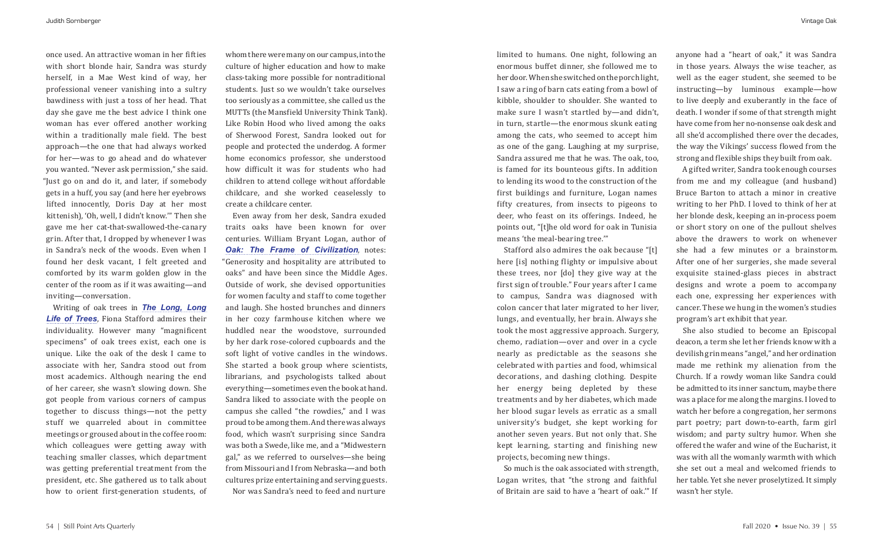once used. An attractive woman in her fifties with short blonde hair, Sandra was sturdy herself, in a Mae West kind of way, her professional veneer vanishing into a sultry bawdiness with just a toss of her head. That day she gave me the best advice I think one woman has ever offered another working within a traditionally male field. The best approach—the one that had always worked for her—was to go ahead and do whatever you wanted. "Never ask permission," she said. "Just go on and do it, and later, if somebody gets in a huff, you say (and here her eyebrows lifted innocently, Doris Day at her most kittenish), 'Oh, well, I didn't know.'" Then she gave me her cat-that-swallowed-the-canary grin. After that, I dropped by whenever I was in Sandra's neck of the woods. Even when I found her desk vacant, I felt greeted and comforted by its warm golden glow in the center of the room as if it was awaiting—and inviting—conversation.

Writing of oak trees in *[The Long, Long](https://yalebooks.yale.edu/book/9780300207330/long-long-life-trees)  [Life of Trees](https://yalebooks.yale.edu/book/9780300207330/long-long-life-trees)*, Fiona Stafford admires their individuality. However many "magnificent specimens" of oak trees exist, each one is unique. Like the oak of the desk I came to associate with her, Sandra stood out from most academics. Although nearing the end of her career, she wasn't slowing down. She got people from various corners of campus together to discuss things—not the petty stuff we quarreled about in committee meetings or groused about in the coffee room: which colleagues were getting away with teaching smaller classes, which department was getting preferential treatment from the president, etc. She gathered us to talk about how to orient first-generation students, of

whom there were many on our campus, into the culture of higher education and how to make class-taking more possible for nontraditional students. Just so we wouldn't take ourselves too seriously as a committee, she called us the MUTTs (the Mansfield University Think Tank). Like Robin Hood who lived among the oaks of Sherwood Forest, Sandra looked out for people and protected the underdog. A former home economics professor, she understood how difficult it was for students who had children to attend college without affordable childcare, and she worked ceaselessly to create a childcare center.

Even away from her desk, Sandra exuded traits oaks have been known for over centuries. William Bryant Logan, author of **[Oak: The Frame of Civilization](https://www.williambryantlogan.com/oak), notes:** "Generosity and hospitality are attributed to oaks" and have been since the Middle Ages. Outside of work, she devised opportunities for women faculty and staff to come together and laugh. She hosted brunches and dinners in her cozy farmhouse kitchen where we huddled near the woodstove, surrounded by her dark rose-colored cupboards and the soft light of votive candles in the windows. She started a book group where scientists, librarians, and psychologists talked about everything—sometimes even the book at hand. Sandra liked to associate with the people on campus she called "the rowdies," and I was proud to be among them. And there was always food, which wasn't surprising since Sandra was both a Swede, like me, and a "Midwestern gal," as we referred to ourselves—she being from Missouri and I from Nebraska—and both cultures prize entertaining and serving guests. Nor was Sandra's need to feed and nurture

limited to humans. One night, following an enormous buffet dinner, she followed me to her door. When she switched on the porch light, I saw a ring of barn cats eating from a bowl of kibble, shoulder to shoulder. She wanted to make sure I wasn't startled by—and didn't, in turn, startle—the enormous skunk eating among the cats, who seemed to accept him as one of the gang. Laughing at my surprise, Sandra assured me that he was. The oak, too, is famed for its bounteous gifts. In addition to lending its wood to the construction of the first buildings and furniture, Logan names fifty creatures, from insects to pigeons to deer, who feast on its offerings. Indeed, he points out, "[t]he old word for oak in Tunisia means 'the meal-bearing tree.'"

Stafford also admires the oak because "[t] here [is] nothing flighty or impulsive about these trees, nor [do] they give way at the first sign of trouble." Four years after I came to campus, Sandra was diagnosed with colon cancer that later migrated to her liver, lungs, and eventually, her brain. Always she took the most aggressive approach. Surgery, chemo, radiation—over and over in a cycle nearly as predictable as the seasons she celebrated with parties and food, whimsical decorations, and dashing clothing. Despite her energy being depleted by these treatments and by her diabetes, which made her blood sugar levels as erratic as a small university's budget, she kept working for another seven years. But not only that. She kept learning, starting and finishing new projects, becoming new things.

So much is the oak associated with strength, Logan writes, that "the strong and faithful of Britain are said to have a 'heart of oak.'" If

anyone had a "heart of oak," it was Sandra in those years. Always the wise teacher, as well as the eager student, she seemed to be instructing—by luminous example—how to live deeply and exuberantly in the face of death. I wonder if some of that strength might have come from her no-nonsense oak desk and all she'd accomplished there over the decades, the way the Vikings' success flowed from the strong and flexible ships they built from oak.

A gifted writer, Sandra took enough courses from me and my colleague (and husband) Bruce Barton to attach a minor in creative writing to her PhD. I loved to think of her at her blonde desk, keeping an in-process poem or short story on one of the pullout shelves above the drawers to work on whenever she had a few minutes or a brainstorm. After one of her surgeries, she made several exquisite stained-glass pieces in abstract designs and wrote a poem to accompany each one, expressing her experiences with cancer. These we hung in the women's studies program's art exhibit that year.

She also studied to become an Episcopal deacon, a term she let her friends know with a devilish grin means "angel," and her ordination made me rethink my alienation from the Church. If a rowdy woman like Sandra could be admitted to its inner sanctum, maybe there was a place for me along the margins. I loved to watch her before a congregation, her sermons part poetry; part down-to-earth, farm girl wisdom; and party sultry humor. When she offered the wafer and wine of the Eucharist, it was with all the womanly warmth with which she set out a meal and welcomed friends to her table. Yet she never proselytized. It simply wasn't her style.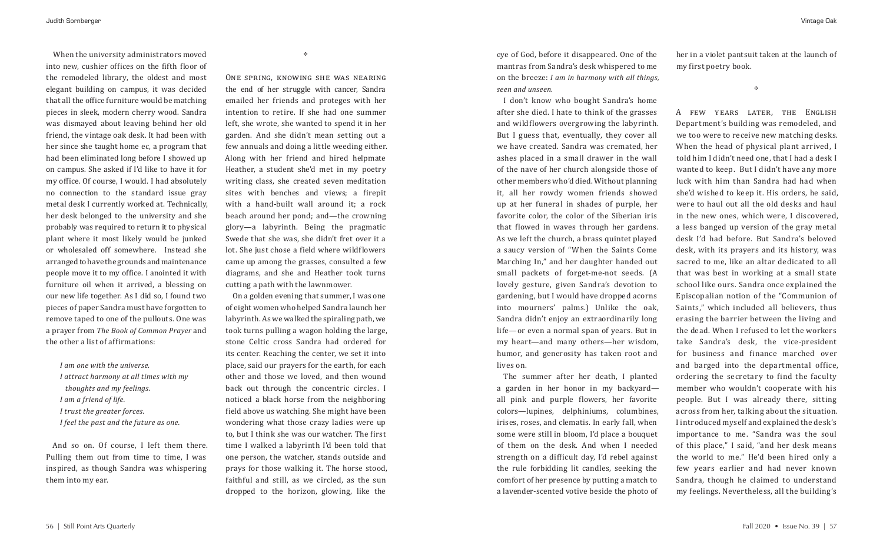When the university administrators moved into new, cushier offices on the fifth floor of the remodeled library, the oldest and most elegant building on campus, it was decided that all the office furniture would be matching pieces in sleek, modern cherry wood. Sandra was dismayed about leaving behind her old friend, the vintage oak desk. It had been with her since she taught home ec, a program that had been eliminated long before I showed up on campus. She asked if I'd like to have it for my office. Of course, I would. I had absolutely no connection to the standard issue gray metal desk I currently worked at. Technically, her desk belonged to the university and she probably was required to return it to physical plant where it most likely would be junked or wholesaled off somewhere. Instead she arranged to have the grounds and maintenance people move it to my office. I anointed it with furniture oil when it arrived, a blessing on our new life together. As I did so, I found two pieces of paper Sandra must have forgotten to remove taped to one of the pullouts. One was a prayer from *The Book of Common Prayer* and the other a list of affirmations:

*I am one with the universe. I attract harmony at all times with my thoughts and my feelings. I am a friend of life. I trust the greater forces. I feel the past and the future as one.*

And so on. Of course, I left them there. Pulling them out from time to time, I was inspired, as though Sandra was whispering them into my ear.

 $\mathcal{L}_{\mathcal{S}}$ 

One spring, knowing she was nearing the end of her struggle with cancer, Sandra emailed her friends and proteges with her intention to retire. If she had one summer left, she wrote, she wanted to spend it in her garden. And she didn't mean setting out a few annuals and doing a little weeding either. Along with her friend and hired helpmate Heather, a student she'd met in my poetry writing class, she created seven meditation sites with benches and views; a firepit with a hand-built wall around it; a rock beach around her pond; and—the crowning glory—a labyrinth. Being the pragmatic Swede that she was, she didn't fret over it a lot. She just chose a field where wildflowers came up among the grasses, consulted a few diagrams, and she and Heather took turns cutting a path with the lawnmower.

On a golden evening that summer, I was one of eight women who helped Sandra launch her labyrinth. As we walked the spiraling path, we took turns pulling a wagon holding the large, stone Celtic cross Sandra had ordered for its center. Reaching the center, we set it into place, said our prayers for the earth, for each other and those we loved, and then wound back out through the concentric circles. I noticed a black horse from the neighboring field above us watching. She might have been wondering what those crazy ladies were up to, but I think she was our watcher. The first time I walked a labyrinth I'd been told that one person, the watcher, stands outside and prays for those walking it. The horse stood, faithful and still, as we circled, as the sun dropped to the horizon, glowing, like the

eye of God, before it disappeared. One of the mantras from Sandra's desk whispered to me on the breeze: *I am in harmony with all things, seen and unseen.*

I don't know who bought Sandra's home after she died. I hate to think of the grasses and wildflowers overgrowing the labyrinth. But I guess that, eventually, they cover all we have created. Sandra was cremated, her ashes placed in a small drawer in the wall of the nave of her church alongside those of other members who'd died. Without planning it, all her rowdy women friends showed up at her funeral in shades of purple, her favorite color, the color of the Siberian iris that flowed in waves through her gardens. As we left the church, a brass quintet played a saucy version of "When the Saints Come Marching In," and her daughter handed out small packets of forget-me-not seeds. (A lovely gesture, given Sandra's devotion to gardening, but I would have dropped acorns into mourners' palms.) Unlike the oak, Sandra didn't enjoy an extraordinarily long life—or even a normal span of years. But in my heart—and many others—her wisdom, humor, and generosity has taken root and lives on.

The summer after her death, I planted a garden in her honor in my backyard all pink and purple flowers, her favorite colors—lupines, delphiniums, columbines, irises, roses, and clematis. In early fall, when some were still in bloom, I'd place a bouquet of them on the desk. And when I needed strength on a difficult day, I'd rebel against the rule forbidding lit candles, seeking the comfort of her presence by putting a match to a lavender-scented votive beside the photo of

her in a violet pantsuit taken at the launch of my first poetry book.

 $\mathcal{L}_{\mathcal{P}}$ 

A few years later, the English Department's building was remodeled, and we too were to receive new matching desks. When the head of physical plant arrived, I told him I didn't need one, that I had a desk I wanted to keep. But I didn't have any more luck with him than Sandra had had when she'd wished to keep it. His orders, he said, were to haul out all the old desks and haul in the new ones, which were, I discovered, a less banged up version of the gray metal desk I'd had before. But Sandra's beloved desk, with its prayers and its history, was sacred to me, like an altar dedicated to all that was best in working at a small state school like ours. Sandra once explained the Episcopalian notion of the "Communion of Saints," which included all believers, thus erasing the barrier between the living and the dead. When I refused to let the workers take Sandra's desk, the vice-president for business and finance marched over and barged into the departmental office, ordering the secretary to find the faculty member who wouldn't cooperate with his people. But I was already there, sitting across from her, talking about the situation. I introduced myself and explained the desk's importance to me. "Sandra was the soul

of this place," I said, "and her desk means

the world to me." He'd been hired only a few years earlier and had never known Sandra, though he claimed to understand my feelings. Nevertheless, all the building's